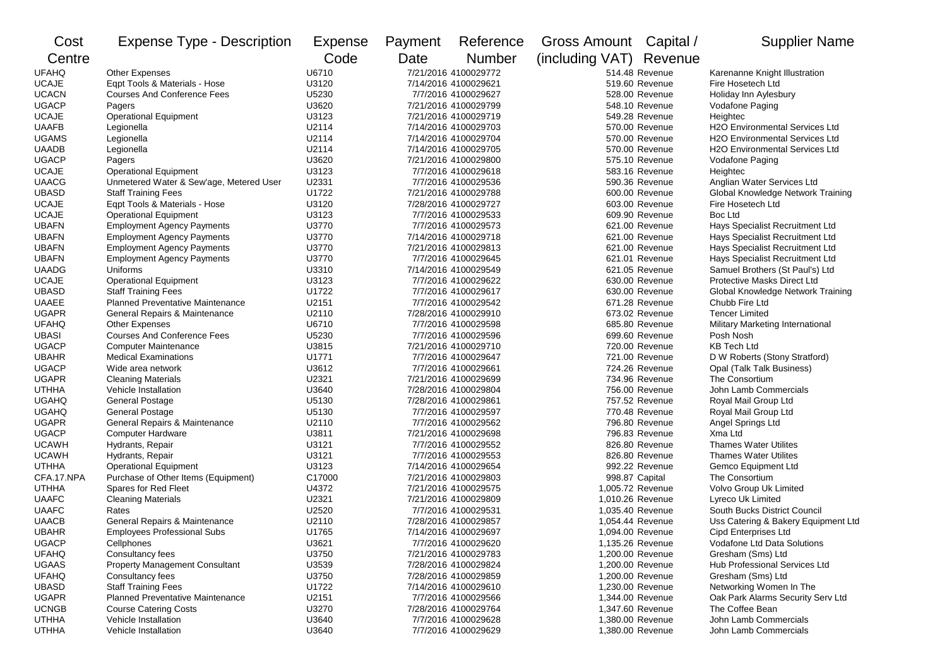| Cost                         | <b>Expense Type - Description</b>                    | <b>Expense</b> | Payment              | Reference                                    | Gross Amount Capital /  |                                      | <b>Supplier Name</b>                         |
|------------------------------|------------------------------------------------------|----------------|----------------------|----------------------------------------------|-------------------------|--------------------------------------|----------------------------------------------|
| Centre                       |                                                      | Code           | Date                 | <b>Number</b>                                | (including VAT) Revenue |                                      |                                              |
| <b>UFAHQ</b>                 | Other Expenses                                       | U6710          |                      | 7/21/2016 4100029772                         |                         | 514.48 Revenue                       | Karenanne Knight Illustration                |
| <b>UCAJE</b>                 | Eqpt Tools & Materials - Hose                        | U3120          |                      | 7/14/2016 4100029621                         |                         | 519.60 Revenue                       | Fire Hosetech Ltd                            |
| <b>UCACN</b>                 | <b>Courses And Conference Fees</b>                   | U5230          | 7/7/2016 4100029627  |                                              |                         | 528.00 Revenue                       | Holiday Inn Aylesbury                        |
| <b>UGACP</b>                 | Pagers                                               | U3620          | 7/21/2016 4100029799 |                                              |                         | 548.10 Revenue                       | Vodafone Paging                              |
| <b>UCAJE</b>                 | <b>Operational Equipment</b>                         | U3123          | 7/21/2016 4100029719 |                                              |                         | 549.28 Revenue                       | Heightec                                     |
| <b>UAAFB</b>                 | Legionella                                           | U2114          | 7/14/2016 4100029703 |                                              |                         | 570.00 Revenue                       | <b>H2O Environmental Services Ltd</b>        |
| <b>UGAMS</b>                 | Legionella                                           | U2114          |                      | 7/14/2016 4100029704                         |                         | 570.00 Revenue                       | <b>H2O Environmental Services Ltd</b>        |
| <b>UAADB</b>                 | Legionella                                           | U2114          |                      | 7/14/2016 4100029705                         |                         | 570.00 Revenue                       | <b>H2O Environmental Services Ltd</b>        |
| <b>UGACP</b>                 | Pagers                                               | U3620          |                      | 7/21/2016 4100029800                         |                         | 575.10 Revenue                       | Vodafone Paging                              |
| <b>UCAJE</b>                 | <b>Operational Equipment</b>                         | U3123          |                      | 7/7/2016 4100029618                          |                         | 583.16 Revenue                       | Heightec                                     |
| <b>UAACG</b>                 | Unmetered Water & Sew'age, Metered User              | U2331          |                      | 7/7/2016 4100029536                          |                         | 590.36 Revenue                       | Anglian Water Services Ltd                   |
| <b>UBASD</b>                 | <b>Staff Training Fees</b>                           | U1722          |                      | 7/21/2016 4100029788                         |                         | 600.00 Revenue                       | Global Knowledge Network Training            |
| <b>UCAJE</b>                 | Eqpt Tools & Materials - Hose                        | U3120          |                      | 7/28/2016 4100029727                         |                         | 603.00 Revenue                       | Fire Hosetech Ltd                            |
| <b>UCAJE</b>                 | <b>Operational Equipment</b>                         | U3123          |                      | 7/7/2016 4100029533                          |                         | 609.90 Revenue                       | Boc Ltd                                      |
| <b>UBAFN</b>                 | <b>Employment Agency Payments</b>                    | U3770          |                      | 7/7/2016 4100029573                          |                         | 621.00 Revenue                       | Hays Specialist Recruitment Ltd              |
| <b>UBAFN</b>                 | <b>Employment Agency Payments</b>                    | U3770          |                      | 7/14/2016 4100029718                         |                         | 621.00 Revenue                       | Hays Specialist Recruitment Ltd              |
| <b>UBAFN</b>                 | <b>Employment Agency Payments</b>                    | U3770          |                      | 7/21/2016 4100029813                         |                         | 621.00 Revenue                       | Hays Specialist Recruitment Ltd              |
| <b>UBAFN</b>                 | <b>Employment Agency Payments</b>                    | U3770          |                      | 7/7/2016 4100029645                          |                         | 621.01 Revenue                       | Hays Specialist Recruitment Ltd              |
| <b>UAADG</b>                 | Uniforms                                             | U3310          |                      | 7/14/2016 4100029549                         |                         | 621.05 Revenue                       | Samuel Brothers (St Paul's) Ltd              |
| <b>UCAJE</b>                 | <b>Operational Equipment</b>                         | U3123          |                      | 7/7/2016 4100029622                          |                         | 630.00 Revenue                       | Protective Masks Direct Ltd                  |
| <b>UBASD</b>                 | <b>Staff Training Fees</b>                           | U1722          |                      | 7/7/2016 4100029617                          |                         | 630.00 Revenue                       | Global Knowledge Network Training            |
| <b>UAAEE</b>                 | <b>Planned Preventative Maintenance</b>              | U2151          |                      | 7/7/2016 4100029542                          |                         | 671.28 Revenue                       | Chubb Fire Ltd                               |
| <b>UGAPR</b>                 | General Repairs & Maintenance                        | U2110          |                      | 7/28/2016 4100029910                         |                         | 673.02 Revenue                       | <b>Tencer Limited</b>                        |
| <b>UFAHQ</b>                 | <b>Other Expenses</b>                                | U6710          |                      | 7/7/2016 4100029598                          |                         | 685.80 Revenue                       | Military Marketing International             |
| <b>UBASI</b>                 | <b>Courses And Conference Fees</b>                   | U5230          |                      | 7/7/2016 4100029596                          |                         | 699.60 Revenue                       | Posh Nosh                                    |
| <b>UGACP</b>                 | <b>Computer Maintenance</b>                          | U3815          |                      | 7/21/2016 4100029710                         |                         | 720.00 Revenue                       | <b>KB Tech Ltd</b>                           |
| <b>UBAHR</b>                 | <b>Medical Examinations</b>                          | U1771          |                      | 7/7/2016 4100029647                          |                         | 721.00 Revenue                       | D W Roberts (Stony Stratford)                |
| <b>UGACP</b>                 | Wide area network                                    | U3612          |                      | 7/7/2016 4100029661                          |                         | 724.26 Revenue                       | Opal (Talk Talk Business)                    |
| <b>UGAPR</b>                 | <b>Cleaning Materials</b>                            | U2321          |                      | 7/21/2016 4100029699                         |                         | 734.96 Revenue                       | The Consortium                               |
| <b>UTHHA</b>                 | Vehicle Installation                                 | U3640          |                      | 7/28/2016 4100029804                         |                         | 756.00 Revenue                       | John Lamb Commercials                        |
| <b>UGAHQ</b>                 | <b>General Postage</b>                               | U5130          |                      | 7/28/2016 4100029861                         |                         | 757.52 Revenue                       | Royal Mail Group Ltd                         |
| <b>UGAHQ</b>                 | <b>General Postage</b>                               | U5130          |                      | 7/7/2016 4100029597                          |                         | 770.48 Revenue                       | Royal Mail Group Ltd                         |
| <b>UGAPR</b>                 | General Repairs & Maintenance                        | U2110          |                      | 7/7/2016 4100029562                          |                         | 796.80 Revenue                       | Angel Springs Ltd                            |
| <b>UGACP</b>                 | <b>Computer Hardware</b>                             | U3811          |                      | 7/21/2016 4100029698                         |                         | 796.83 Revenue                       | Xma Ltd                                      |
| <b>UCAWH</b>                 | Hydrants, Repair                                     | U3121          |                      | 7/7/2016 4100029552                          |                         | 826.80 Revenue                       | <b>Thames Water Utilites</b>                 |
| <b>UCAWH</b>                 | Hydrants, Repair                                     | U3121          |                      | 7/7/2016 4100029553                          |                         | 826.80 Revenue                       | <b>Thames Water Utilites</b>                 |
| <b>UTHHA</b>                 | <b>Operational Equipment</b>                         | U3123          |                      | 7/14/2016 4100029654                         |                         | 992.22 Revenue                       | Gemco Equipment Ltd                          |
| CFA.17.NPA                   | Purchase of Other Items (Equipment)                  | C17000         |                      | 7/21/2016 4100029803                         |                         | 998.87 Capital                       | The Consortium                               |
| <b>UTHHA</b>                 | Spares for Red Fleet                                 | U4372          |                      | 7/21/2016 4100029575                         |                         | 1,005.72 Revenue                     | Volvo Group Uk Limited                       |
| <b>UAAFC</b>                 | <b>Cleaning Materials</b>                            | U2321          |                      | 7/21/2016 4100029809                         |                         | 1,010.26 Revenue                     | Lyreco Uk Limited                            |
| <b>UAAFC</b>                 | Rates                                                | U2520          |                      | 7/7/2016 4100029531                          |                         | 1,035.40 Revenue                     | South Bucks District Council                 |
| <b>UAACB</b>                 | General Repairs & Maintenance                        | U2110          |                      | 7/28/2016 4100029857                         |                         | 1,054.44 Revenue                     | Uss Catering & Bakery Equipment Ltd          |
| UBAHR                        | <b>Employees Professional Subs</b>                   | U1765          |                      | 7/14/2016 4100029697                         |                         | 1,094.00 Revenue                     | <b>Cipd Enterprises Ltd</b>                  |
| <b>UGACP</b>                 | Cellphones                                           | U3621          |                      | 7/7/2016 4100029620                          |                         | 1,135.26 Revenue                     | Vodafone Ltd Data Solutions                  |
| <b>UFAHQ</b>                 | Consultancy fees                                     | U3750          |                      | 7/21/2016 4100029783                         |                         | 1,200.00 Revenue                     | Gresham (Sms) Ltd                            |
| <b>UGAAS</b>                 | <b>Property Management Consultant</b>                | U3539          |                      | 7/28/2016 4100029824                         |                         | 1,200.00 Revenue                     | Hub Professional Services Ltd                |
|                              |                                                      |                |                      |                                              |                         |                                      |                                              |
| <b>UFAHQ</b><br><b>UBASD</b> | Consultancy fees<br><b>Staff Training Fees</b>       | U3750<br>U1722 |                      | 7/28/2016 4100029859<br>7/14/2016 4100029610 |                         | 1,200.00 Revenue<br>1,230.00 Revenue | Gresham (Sms) Ltd<br>Networking Women In The |
| <b>UGAPR</b>                 | <b>Planned Preventative Maintenance</b>              | U2151          |                      |                                              |                         | 1,344.00 Revenue                     | Oak Park Alarms Security Serv Ltd            |
|                              |                                                      |                |                      | 7/7/2016 4100029566<br>7/28/2016 4100029764  |                         |                                      |                                              |
| <b>UCNGB</b>                 | <b>Course Catering Costs</b><br>Vehicle Installation | U3270          |                      |                                              |                         | 1,347.60 Revenue                     | The Coffee Bean<br>John Lamb Commercials     |
| <b>UTHHA</b>                 |                                                      | U3640          |                      | 7/7/2016 4100029628                          |                         | 1,380.00 Revenue                     |                                              |
| <b>UTHHA</b>                 | Vehicle Installation                                 | U3640          |                      | 7/7/2016 4100029629                          |                         | 1,380.00 Revenue                     | John Lamb Commercials                        |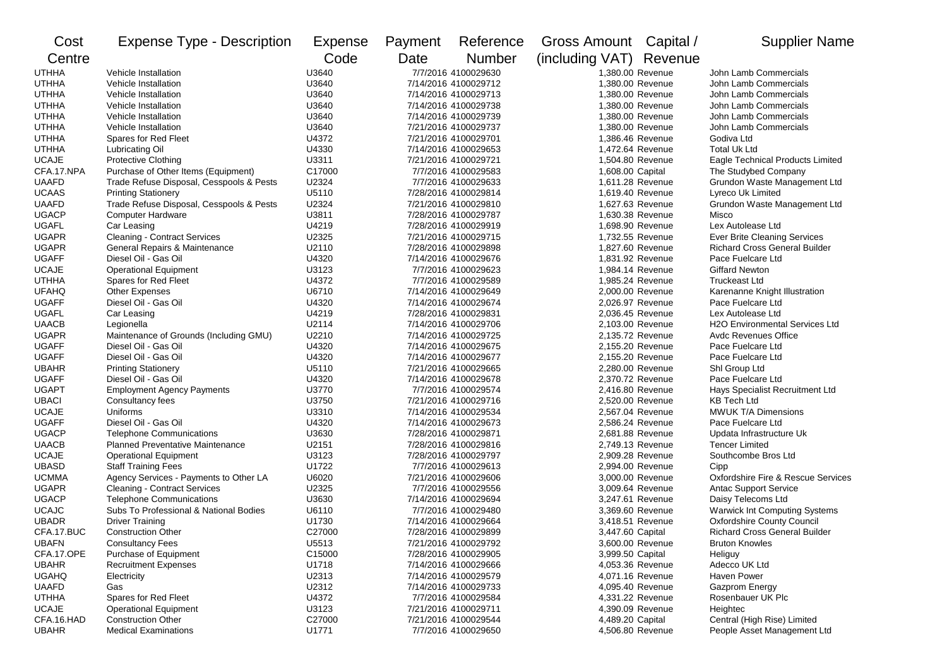| Cost         | <b>Expense Type - Description</b>        | Expense | Payment               | Reference            | Gross Amount Capital /  |                  | <b>Supplier Name</b>                  |
|--------------|------------------------------------------|---------|-----------------------|----------------------|-------------------------|------------------|---------------------------------------|
| Centre       |                                          | Code    | Date<br><b>Number</b> |                      | (including VAT) Revenue |                  |                                       |
| <b>UTHHA</b> | Vehicle Installation                     | U3640   |                       | 7/7/2016 4100029630  |                         | 1,380.00 Revenue | John Lamb Commercials                 |
| <b>UTHHA</b> | Vehicle Installation                     | U3640   | 7/14/2016 4100029712  |                      | 1,380.00 Revenue        |                  | John Lamb Commercials                 |
| UTHHA        | Vehicle Installation                     | U3640   | 7/14/2016 4100029713  |                      | 1,380.00 Revenue        |                  | John Lamb Commercials                 |
| <b>UTHHA</b> | Vehicle Installation                     | U3640   | 7/14/2016 4100029738  |                      | 1,380.00 Revenue        |                  | John Lamb Commercials                 |
| UTHHA        | Vehicle Installation                     | U3640   | 7/14/2016 4100029739  |                      | 1,380.00 Revenue        |                  | John Lamb Commercials                 |
| <b>UTHHA</b> | Vehicle Installation                     | U3640   | 7/21/2016 4100029737  |                      | 1,380.00 Revenue        |                  | John Lamb Commercials                 |
| <b>UTHHA</b> | Spares for Red Fleet                     | U4372   | 7/21/2016 4100029701  |                      | 1,386.46 Revenue        |                  | Godiva Ltd                            |
| UTHHA        | <b>Lubricating Oil</b>                   | U4330   | 7/14/2016 4100029653  |                      | 1,472.64 Revenue        |                  | Total Uk Ltd                          |
| <b>UCAJE</b> | <b>Protective Clothing</b>               | U3311   |                       | 7/21/2016 4100029721 |                         | 1,504.80 Revenue | Eagle Technical Products Limited      |
| CFA.17.NPA   | Purchase of Other Items (Equipment)      | C17000  |                       | 7/7/2016 4100029583  | 1,608.00 Capital        |                  | The Studybed Company                  |
| <b>UAAFD</b> | Trade Refuse Disposal, Cesspools & Pests | U2324   |                       | 7/7/2016 4100029633  |                         | 1,611.28 Revenue | Grundon Waste Management Ltd          |
| <b>UCAAS</b> | <b>Printing Stationery</b>               | U5110   |                       | 7/28/2016 4100029814 |                         | 1,619.40 Revenue | Lyreco Uk Limited                     |
| <b>UAAFD</b> | Trade Refuse Disposal, Cesspools & Pests | U2324   |                       | 7/21/2016 4100029810 |                         | 1,627.63 Revenue | Grundon Waste Management Ltd          |
| <b>UGACP</b> | <b>Computer Hardware</b>                 | U3811   |                       | 7/28/2016 4100029787 |                         | 1,630.38 Revenue | Misco                                 |
| <b>UGAFL</b> | Car Leasing                              | U4219   |                       | 7/28/2016 4100029919 |                         | 1,698.90 Revenue | Lex Autolease Ltd                     |
| <b>UGAPR</b> | <b>Cleaning - Contract Services</b>      | U2325   |                       | 7/21/2016 4100029715 |                         | 1,732.55 Revenue | <b>Ever Brite Cleaning Services</b>   |
| <b>UGAPR</b> | General Repairs & Maintenance            | U2110   |                       | 7/28/2016 4100029898 |                         | 1,827.60 Revenue | <b>Richard Cross General Builder</b>  |
| <b>UGAFF</b> | Diesel Oil - Gas Oil                     | U4320   |                       | 7/14/2016 4100029676 |                         | 1,831.92 Revenue | Pace Fuelcare Ltd                     |
| <b>UCAJE</b> | <b>Operational Equipment</b>             | U3123   |                       | 7/7/2016 4100029623  |                         | 1,984.14 Revenue | <b>Giffard Newton</b>                 |
| <b>UTHHA</b> | Spares for Red Fleet                     | U4372   |                       | 7/7/2016 4100029589  |                         | 1,985.24 Revenue | <b>Truckeast Ltd</b>                  |
| <b>UFAHQ</b> | <b>Other Expenses</b>                    | U6710   |                       | 7/14/2016 4100029649 |                         | 2,000.00 Revenue | Karenanne Knight Illustration         |
| <b>UGAFF</b> | Diesel Oil - Gas Oil                     | U4320   |                       | 7/14/2016 4100029674 |                         | 2,026.97 Revenue | Pace Fuelcare Ltd                     |
| <b>UGAFL</b> | Car Leasing                              | U4219   |                       | 7/28/2016 4100029831 |                         | 2,036.45 Revenue | Lex Autolease Ltd                     |
| <b>UAACB</b> | Legionella                               | U2114   |                       | 7/14/2016 4100029706 |                         | 2,103.00 Revenue | <b>H2O Environmental Services Ltd</b> |
| <b>UGAPR</b> | Maintenance of Grounds (Including GMU)   | U2210   |                       | 7/14/2016 4100029725 |                         | 2,135.72 Revenue | <b>Avdc Revenues Office</b>           |
| <b>UGAFF</b> | Diesel Oil - Gas Oil                     | U4320   |                       | 7/14/2016 4100029675 |                         | 2,155.20 Revenue | Pace Fuelcare Ltd                     |
| <b>UGAFF</b> | Diesel Oil - Gas Oil                     | U4320   |                       | 7/14/2016 4100029677 |                         | 2,155.20 Revenue | Pace Fuelcare Ltd                     |
| <b>UBAHR</b> | <b>Printing Stationery</b>               | U5110   |                       | 7/21/2016 4100029665 |                         | 2,280.00 Revenue | Shl Group Ltd                         |
| <b>UGAFF</b> | Diesel Oil - Gas Oil                     | U4320   |                       | 7/14/2016 4100029678 |                         | 2,370.72 Revenue | Pace Fuelcare Ltd                     |
| <b>UGAPT</b> | <b>Employment Agency Payments</b>        | U3770   |                       | 7/7/2016 4100029574  |                         | 2,416.80 Revenue | Hays Specialist Recruitment Ltd       |
| <b>UBACI</b> | Consultancy fees                         | U3750   |                       | 7/21/2016 4100029716 |                         | 2,520.00 Revenue | <b>KB Tech Ltd</b>                    |
| <b>UCAJE</b> | Uniforms                                 | U3310   |                       | 7/14/2016 4100029534 |                         | 2,567.04 Revenue | <b>MWUK T/A Dimensions</b>            |
| <b>UGAFF</b> | Diesel Oil - Gas Oil                     | U4320   |                       | 7/14/2016 4100029673 |                         | 2,586.24 Revenue | Pace Fuelcare Ltd                     |
| <b>UGACP</b> | <b>Telephone Communications</b>          | U3630   |                       | 7/28/2016 4100029871 |                         | 2,681.88 Revenue | Updata Infrastructure Uk              |
| <b>UAACB</b> | Planned Preventative Maintenance         | U2151   |                       | 7/28/2016 4100029816 |                         | 2,749.13 Revenue | <b>Tencer Limited</b>                 |
| <b>UCAJE</b> | <b>Operational Equipment</b>             | U3123   |                       | 7/28/2016 4100029797 |                         | 2,909.28 Revenue | Southcombe Bros Ltd                   |
| <b>UBASD</b> | <b>Staff Training Fees</b>               | U1722   |                       | 7/7/2016 4100029613  |                         | 2,994.00 Revenue | Cipp                                  |
| <b>UCMMA</b> | Agency Services - Payments to Other LA   | U6020   |                       | 7/21/2016 4100029606 |                         | 3,000.00 Revenue | Oxfordshire Fire & Rescue Services    |
| <b>UGAPR</b> | <b>Cleaning - Contract Services</b>      | U2325   |                       | 7/7/2016 4100029556  |                         | 3,009.64 Revenue | <b>Antac Support Service</b>          |
| <b>UGACP</b> | <b>Telephone Communications</b>          | U3630   |                       | 7/14/2016 4100029694 |                         | 3,247.61 Revenue | Daisy Telecoms Ltd                    |
| <b>UCAJC</b> | Subs To Professional & National Bodies   | U6110   |                       | 7/7/2016 4100029480  |                         | 3,369.60 Revenue | Warwick Int Computing Systems         |
| UBADR        | <b>Driver Training</b>                   | U1730   |                       | 7/14/2016 4100029664 |                         | 3,418.51 Revenue | <b>Oxfordshire County Council</b>     |
| CFA.17.BUC   | <b>Construction Other</b>                | C27000  |                       | 7/28/2016 4100029899 | 3,447.60 Capital        |                  | <b>Richard Cross General Builder</b>  |
| <b>UBAFN</b> | <b>Consultancy Fees</b>                  | U5513   |                       | 7/21/2016 4100029792 |                         | 3,600.00 Revenue | <b>Bruton Knowles</b>                 |
| CFA.17.OPE   | Purchase of Equipment                    | C15000  |                       | 7/28/2016 4100029905 | 3,999.50 Capital        |                  | Heliguy                               |
| <b>UBAHR</b> | <b>Recruitment Expenses</b>              | U1718   |                       | 7/14/2016 4100029666 |                         | 4,053.36 Revenue | Adecco UK Ltd                         |
| <b>UGAHQ</b> | Electricity                              | U2313   |                       | 7/14/2016 4100029579 |                         | 4,071.16 Revenue | Haven Power                           |
| <b>UAAFD</b> | Gas                                      | U2312   |                       | 7/14/2016 4100029733 |                         | 4,095.40 Revenue | <b>Gazprom Energy</b>                 |
| <b>UTHHA</b> | Spares for Red Fleet                     | U4372   |                       | 7/7/2016 4100029584  |                         | 4,331.22 Revenue | Rosenbauer UK Plc                     |
| <b>UCAJE</b> | <b>Operational Equipment</b>             | U3123   |                       | 7/21/2016 4100029711 |                         | 4,390.09 Revenue | Heightec                              |
| CFA.16.HAD   | <b>Construction Other</b>                | C27000  |                       | 7/21/2016 4100029544 | 4,489.20 Capital        |                  | Central (High Rise) Limited           |
| <b>UBAHR</b> | <b>Medical Examinations</b>              | U1771   |                       | 7/7/2016 4100029650  |                         | 4,506.80 Revenue | People Asset Management Ltd           |